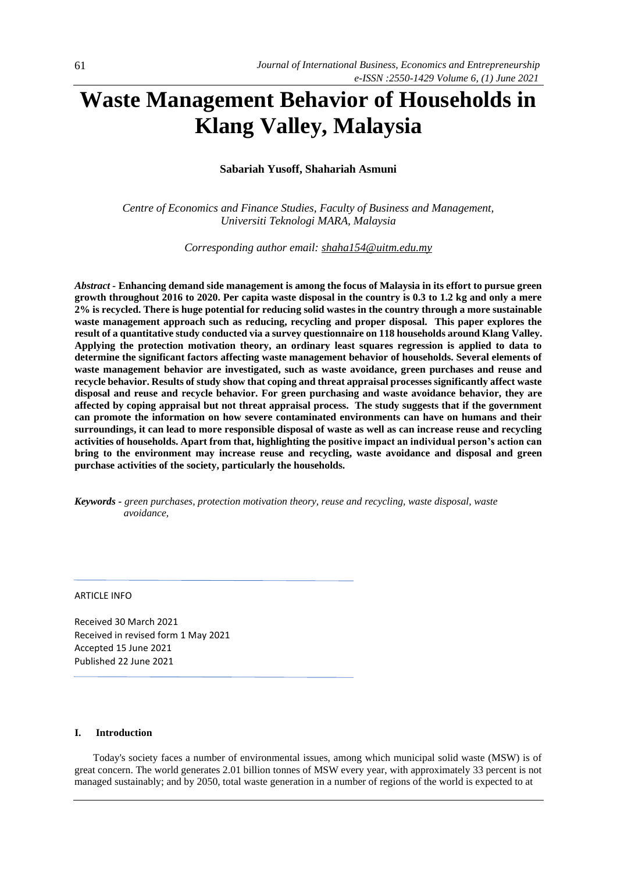# **Waste Management Behavior of Households in Klang Valley, Malaysia**

# **Sabariah Yusoff, Shahariah Asmuni**

*Centre of Economics and Finance Studies, Faculty of Business and Management, Universiti Teknologi MARA, Malaysia*

*Corresponding author email: [shaha154@uitm.edu.my](mailto:shaha154@uitm.edu.my)*

*Abstract -* **Enhancing demand side management is among the focus of Malaysia in its effort to pursue green growth throughout 2016 to 2020. Per capita waste disposal in the country is 0.3 to 1.2 kg and only a mere 2% is recycled. There is huge potential for reducing solid wastes in the country through a more sustainable waste management approach such as reducing, recycling and proper disposal. This paper explores the result of a quantitative study conducted via a survey questionnaire on 118 households around Klang Valley. Applying the protection motivation theory, an ordinary least squares regression is applied to data to determine the significant factors affecting waste management behavior of households. Several elements of waste management behavior are investigated, such as waste avoidance, green purchases and reuse and recycle behavior. Results of study show that coping and threat appraisal processes significantly affect waste disposal and reuse and recycle behavior. For green purchasing and waste avoidance behavior, they are affected by coping appraisal but not threat appraisal process. The study suggests that if the government can promote the information on how severe contaminated environments can have on humans and their surroundings, it can lead to more responsible disposal of waste as well as can increase reuse and recycling activities of households. Apart from that, highlighting the positive impact an individual person's action can bring to the environment may increase reuse and recycling, waste avoidance and disposal and green purchase activities of the society, particularly the households.** 

*Keywords - green purchases, protection motivation theory, reuse and recycling, waste disposal, waste avoidance,* 

### ARTICLE INFO

Received 30 March 2021 Received in revised form 1 May 2021 Accepted 15 June 2021 Published 22 June 2021

## **I. Introduction**

Today's society faces a number of environmental issues, among which municipal solid waste (MSW) is of great concern. The world generates 2.01 billion tonnes of MSW every year, with approximately 33 percent is not managed sustainably; and by 2050, total waste generation in a number of regions of the world is expected to at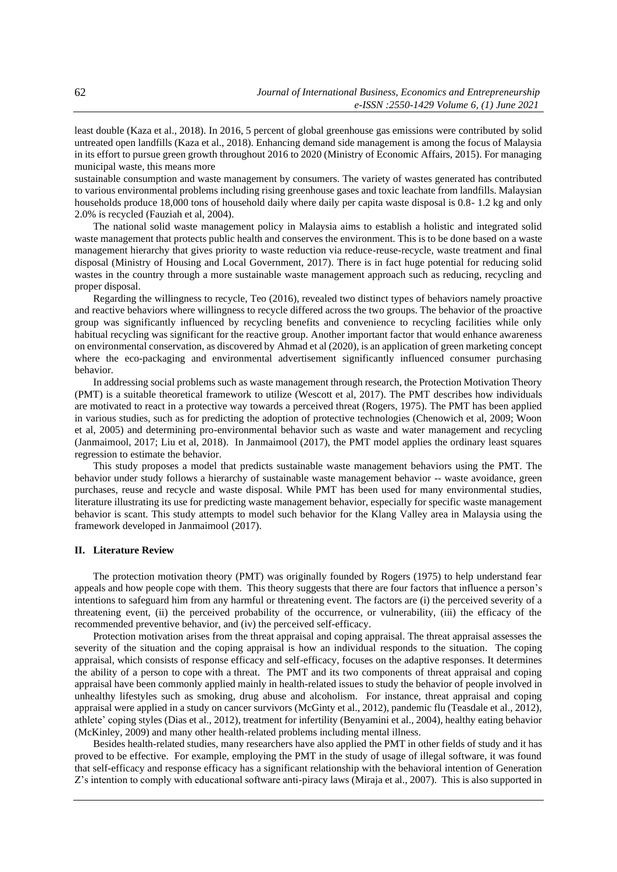least double (Kaza et al., 2018). In 2016, 5 percent of global greenhouse gas emissions were contributed by solid untreated open landfills (Kaza et al., 2018). Enhancing demand side management is among the focus of Malaysia in its effort to pursue green growth throughout 2016 to 2020 (Ministry of Economic Affairs, 2015). For managing municipal waste, this means more

sustainable consumption and waste management by consumers. The variety of wastes generated has contributed to various environmental problems including rising greenhouse gases and toxic leachate from landfills. Malaysian households produce 18,000 tons of household daily where daily per capita waste disposal is 0.8-1.2 kg and only 2.0% is recycled (Fauziah et al, 2004).

The national solid waste management policy in Malaysia aims to establish a holistic and integrated solid waste management that protects public health and conserves the environment. This is to be done based on a waste management hierarchy that gives priority to waste reduction via reduce-reuse-recycle, waste treatment and final disposal (Ministry of Housing and Local Government, 2017). There is in fact huge potential for reducing solid wastes in the country through a more sustainable waste management approach such as reducing, recycling and proper disposal.

Regarding the willingness to recycle, Teo (2016), revealed two distinct types of behaviors namely proactive and reactive behaviors where willingness to recycle differed across the two groups. The behavior of the proactive group was significantly influenced by recycling benefits and convenience to recycling facilities while only habitual recycling was significant for the reactive group. Another important factor that would enhance awareness on environmental conservation, as discovered by Ahmad et al (2020), is an application of green marketing concept where the eco-packaging and environmental advertisement significantly influenced consumer purchasing behavior.

In addressing social problems such as waste management through research, the Protection Motivation Theory (PMT) is a suitable theoretical framework to utilize (Wescott et al, 2017). The PMT describes how individuals are motivated to react in a protective way towards a perceived threat (Rogers, 1975). The PMT has been applied in various studies, such as for predicting the adoption of protective technologies (Chenowich et al, 2009; Woon et al, 2005) and determining pro-environmental behavior such as waste and water management and recycling (Janmaimool, 2017; Liu et al, 2018). In Janmaimool (2017), the PMT model applies the ordinary least squares regression to estimate the behavior.

This study proposes a model that predicts sustainable waste management behaviors using the PMT. The behavior under study follows a hierarchy of sustainable waste management behavior -- waste avoidance, green purchases, reuse and recycle and waste disposal. While PMT has been used for many environmental studies, literature illustrating its use for predicting waste management behavior, especially for specific waste management behavior is scant. This study attempts to model such behavior for the Klang Valley area in Malaysia using the framework developed in Janmaimool (2017).

## **II. Literature Review**

The protection motivation theory (PMT) was originally founded by Rogers (1975) to help understand fear appeals and how people cope with them. This theory suggests that there are four factors that influence a person's intentions to safeguard him from any harmful or threatening event. The factors are (i) the perceived severity of a threatening event, (ii) the perceived probability of the occurrence, or vulnerability, (iii) the efficacy of the recommended preventive behavior, and (iv) the perceived [self-efficacy.](https://en.wikipedia.org/wiki/Self_efficacy)

Protection motivation arises from the threat appraisal and coping appraisal. The threat appraisal assesses the severity of the situation and the coping appraisal is how an individual responds to the situation. The coping appraisal, which consists of response efficacy and self-efficacy, focuses on the adaptive responses. It determines the ability of a person to cope with a threat. The PMT and its two components of threat appraisal and coping appraisal have been commonly applied mainly in health-related issues to study the behavior of people involved in unhealthy lifestyles such as smoking, drug abuse and alcoholism. For instance, threat appraisal and coping appraisal were applied in a study on cancer survivors (McGinty et al., 2012), pandemic flu (Teasdale et al., 2012), athlete' coping styles (Dias et al., 2012), treatment for infertility (Benyamini et al., 2004), healthy eating behavior (McKinley, 2009) and many other health-related problems including mental illness.

Besides health-related studies, many researchers have also applied the PMT in other fields of study and it has proved to be effective. For example, employing the PMT in the study of usage of illegal software, it was found that self-efficacy and response efficacy has a significant relationship with the behavioral intention of Generation Z's intention to comply with educational software anti-piracy laws (Miraja et al., 2007). This is also supported in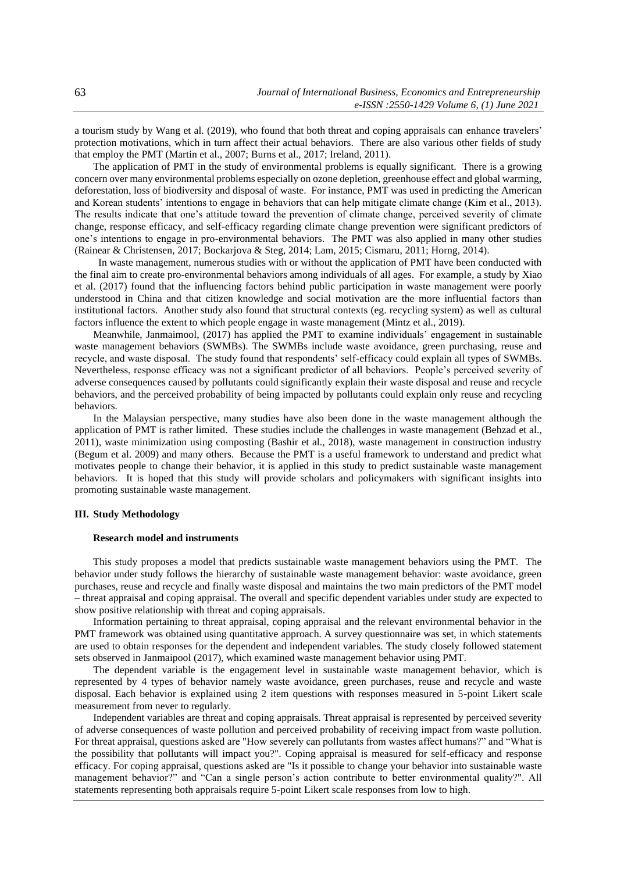a tourism study by Wang et al. (2019), who found that both threat and coping appraisals can enhance travelers' protection motivations, which in turn affect their actual behaviors. There are also various other fields of study that employ the PMT (Martin et al., 2007; Burns et al., 2017; Ireland, 2011).

The application of PMT in the study of environmental problems is equally significant. There is a growing concern over many environmental problems especially on ozone depletion, greenhouse effect and global warming, deforestation, loss of biodiversity and disposal of waste. For instance, PMT was used in predicting the American and Korean students' intentions to engage in behaviors that can help mitigate climate change (Kim et al., 2013). The results indicate that one's attitude toward the prevention of climate change, perceived severity of climate change, response efficacy, and self-efficacy regarding climate change prevention were significant predictors of one's intentions to engage in pro-environmental behaviors. The PMT was also applied in many other studies (Rainear & Christensen, 2017; Bockarjova & Steg, 2014; Lam, 2015; Cismaru, 2011; Horng, 2014).

 In waste management, numerous studies with or without the application of PMT have been conducted with the final aim to create pro-environmental behaviors among individuals of all ages. For example, a study by Xiao et al. (2017) found that the influencing factors behind public participation in waste management were poorly understood in China and that citizen knowledge and social motivation are the more influential factors than institutional factors. Another study also found that structural contexts (eg. recycling system) as well as cultural factors influence the extent to which people engage in waste management (Mintz et al., 2019).

Meanwhile, Janmaimool, (2017) has applied the PMT to examine individuals' engagement in sustainable waste management behaviors (SWMBs). The SWMBs include waste avoidance, green purchasing, reuse and recycle, and waste disposal. The study found that respondents' self-efficacy could explain all types of SWMBs. Nevertheless, response efficacy was not a significant predictor of all behaviors. People's perceived severity of adverse consequences caused by pollutants could significantly explain their waste disposal and reuse and recycle behaviors, and the perceived probability of being impacted by pollutants could explain only reuse and recycling behaviors.

In the Malaysian perspective, many studies have also been done in the waste management although the application of PMT is rather limited. These studies include the challenges in waste management (Behzad et al., 2011), waste minimization using composting (Bashir et al., 2018), waste management in construction industry (Begum et al. 2009) and many others. Because the PMT is a useful framework to understand and predict what motivates people to change their behavior, it is applied in this study to predict sustainable waste management behaviors. It is hoped that this study will provide scholars and policymakers with significant insights into promoting sustainable waste management.

# **III. Study Methodology**

### **Research model and instruments**

This study proposes a model that predicts sustainable waste management behaviors using the PMT. The behavior under study follows the hierarchy of sustainable waste management behavior: waste avoidance, green purchases, reuse and recycle and finally waste disposal and maintains the two main predictors of the PMT model – threat appraisal and coping appraisal. The overall and specific dependent variables under study are expected to show positive relationship with threat and coping appraisals.

Information pertaining to threat appraisal, coping appraisal and the relevant environmental behavior in the PMT framework was obtained using quantitative approach. A survey questionnaire was set, in which statements are used to obtain responses for the dependent and independent variables. The study closely followed statement sets observed in Janmaipool (2017), which examined waste management behavior using PMT.

The dependent variable is the engagement level in sustainable waste management behavior, which is represented by 4 types of behavior namely waste avoidance, green purchases, reuse and recycle and waste disposal. Each behavior is explained using 2 item questions with responses measured in 5-point Likert scale measurement from never to regularly.

Independent variables are threat and coping appraisals. Threat appraisal is represented by perceived severity of adverse consequences of waste pollution and perceived probability of receiving impact from waste pollution. For threat appraisal, questions asked are "How severely can pollutants from wastes affect humans?" and "What is the possibility that pollutants will impact you?". Coping appraisal is measured for self-efficacy and response efficacy. For coping appraisal, questions asked are "Is it possible to change your behavior into sustainable waste management behavior?" and "Can a single person's action contribute to better environmental quality?". All statements representing both appraisals require 5-point Likert scale responses from low to high.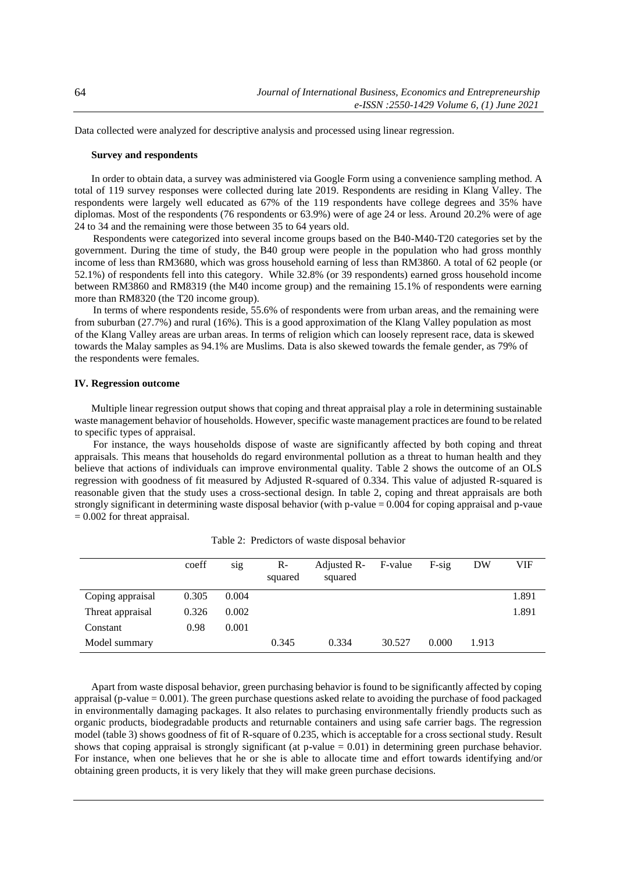Data collected were analyzed for descriptive analysis and processed using linear regression.

#### **Survey and respondents**

In order to obtain data, a survey was administered via Google Form using a convenience sampling method. A total of 119 survey responses were collected during late 2019. Respondents are residing in Klang Valley. The respondents were largely well educated as 67% of the 119 respondents have college degrees and 35% have diplomas. Most of the respondents (76 respondents or 63.9%) were of age 24 or less. Around 20.2% were of age 24 to 34 and the remaining were those between 35 to 64 years old.

Respondents were categorized into several income groups based on the B40-M40-T20 categories set by the government. During the time of study, the B40 group were people in the population who had gross monthly income of less than RM3680, which was gross household earning of less than RM3860. A total of 62 people (or 52.1%) of respondents fell into this category. While 32.8% (or 39 respondents) earned gross household income between RM3860 and RM8319 (the M40 income group) and the remaining 15.1% of respondents were earning more than RM8320 (the T20 income group).

In terms of where respondents reside, 55.6% of respondents were from urban areas, and the remaining were from suburban (27.7%) and rural (16%). This is a good approximation of the Klang Valley population as most of the Klang Valley areas are urban areas. In terms of religion which can loosely represent race, data is skewed towards the Malay samples as 94.1% are Muslims. Data is also skewed towards the female gender, as 79% of the respondents were females.

#### **IV. Regression outcome**

Multiple linear regression output shows that coping and threat appraisal play a role in determining sustainable waste management behavior of households. However, specific waste management practices are found to be related to specific types of appraisal.

For instance, the ways households dispose of waste are significantly affected by both coping and threat appraisals. This means that households do regard environmental pollution as a threat to human health and they believe that actions of individuals can improve environmental quality. Table 2 shows the outcome of an OLS regression with goodness of fit measured by Adjusted R-squared of 0.334. This value of adjusted R-squared is reasonable given that the study uses a cross-sectional design. In table 2, coping and threat appraisals are both strongly significant in determining waste disposal behavior (with p-value = 0.004 for coping appraisal and p-vaue  $= 0.002$  for threat appraisal.

|                  | coeff | S <sub>1</sub> g | $R-$<br>squared | Adjusted R-<br>squared | F-value | $F-sig$ | DW    | VIF   |
|------------------|-------|------------------|-----------------|------------------------|---------|---------|-------|-------|
| Coping appraisal | 0.305 | 0.004            |                 |                        |         |         |       | 1.891 |
| Threat appraisal | 0.326 | 0.002            |                 |                        |         |         |       | 1.891 |
| Constant         | 0.98  | 0.001            |                 |                        |         |         |       |       |
| Model summary    |       |                  | 0.345           | 0.334                  | 30.527  | 0.000   | 1.913 |       |

Table 2: Predictors of waste disposal behavior

Apart from waste disposal behavior, green purchasing behavior is found to be significantly affected by coping appraisal (p-value = 0.001). The green purchase questions asked relate to avoiding the purchase of food packaged in environmentally damaging packages. It also relates to purchasing environmentally friendly products such as organic products, biodegradable products and returnable containers and using safe carrier bags. The regression model (table 3) shows goodness of fit of R-square of 0.235, which is acceptable for a cross sectional study. Result shows that coping appraisal is strongly significant (at  $p$ -value  $= 0.01$ ) in determining green purchase behavior. For instance, when one believes that he or she is able to allocate time and effort towards identifying and/or obtaining green products, it is very likely that they will make green purchase decisions.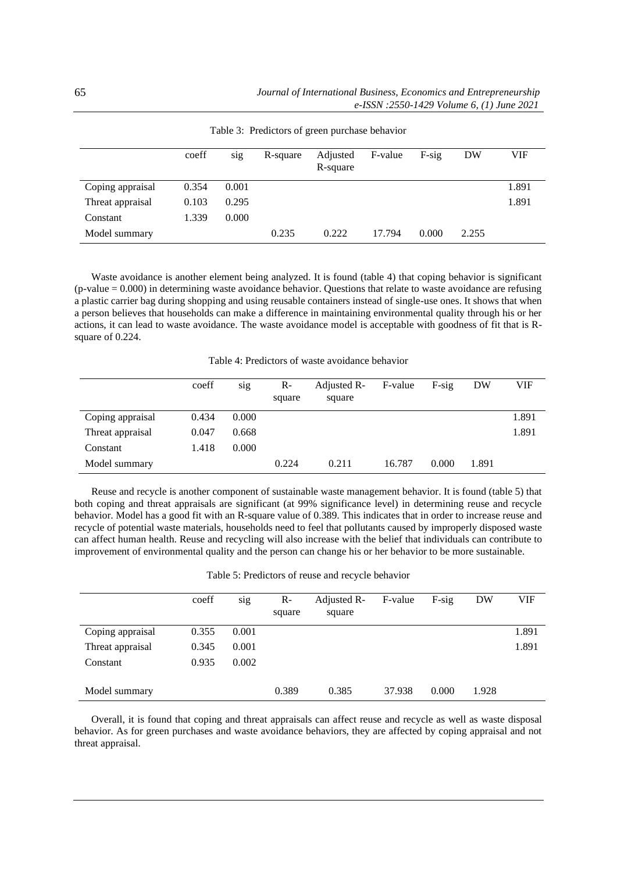|                  | coeff | sig   | R-square | Adjusted<br>R-square | F-value | $F-sig$ | DW    | VIF   |
|------------------|-------|-------|----------|----------------------|---------|---------|-------|-------|
| Coping appraisal | 0.354 | 0.001 |          |                      |         |         |       | 1.891 |
| Threat appraisal | 0.103 | 0.295 |          |                      |         |         |       | 1.891 |
| Constant         | 1.339 | 0.000 |          |                      |         |         |       |       |
| Model summary    |       |       | 0.235    | 0.222                | 17.794  | 0.000   | 2.255 |       |

Table 3: Predictors of green purchase behavior

Waste avoidance is another element being analyzed. It is found (table 4) that coping behavior is significant (p-value = 0.000) in determining waste avoidance behavior. Questions that relate to waste avoidance are refusing a plastic carrier bag during shopping and using reusable containers instead of single-use ones. It shows that when a person believes that households can make a difference in maintaining environmental quality through his or her actions, it can lead to waste avoidance. The waste avoidance model is acceptable with goodness of fit that is Rsquare of 0.224.

Table 4: Predictors of waste avoidance behavior

|                  | coeff | sig   | $R-$<br>square | Adjusted R-<br>square | F-value | $F-sig$ | DW    | VIF   |
|------------------|-------|-------|----------------|-----------------------|---------|---------|-------|-------|
| Coping appraisal | 0.434 | 0.000 |                |                       |         |         |       | 1.891 |
| Threat appraisal | 0.047 | 0.668 |                |                       |         |         |       | 1.891 |
| Constant         | 1.418 | 0.000 |                |                       |         |         |       |       |
| Model summary    |       |       | 0.224          | 0.211                 | 16.787  | 0.000   | 1.891 |       |

Reuse and recycle is another component of sustainable waste management behavior. It is found (table 5) that both coping and threat appraisals are significant (at 99% significance level) in determining reuse and recycle behavior. Model has a good fit with an R-square value of 0.389. This indicates that in order to increase reuse and recycle of potential waste materials, households need to feel that pollutants caused by improperly disposed waste can affect human health. Reuse and recycling will also increase with the belief that individuals can contribute to improvement of environmental quality and the person can change his or her behavior to be more sustainable.

Table 5: Predictors of reuse and recycle behavior

|                  | coeff | sig   | $R-$<br>square | Adjusted R-<br>square | F-value | $F-sig$ | DW    | VIF   |
|------------------|-------|-------|----------------|-----------------------|---------|---------|-------|-------|
| Coping appraisal | 0.355 | 0.001 |                |                       |         |         |       | 1.891 |
| Threat appraisal | 0.345 | 0.001 |                |                       |         |         |       | 1.891 |
| Constant         | 0.935 | 0.002 |                |                       |         |         |       |       |
| Model summary    |       |       | 0.389          | 0.385                 | 37.938  | 0.000   | 1.928 |       |

Overall, it is found that coping and threat appraisals can affect reuse and recycle as well as waste disposal behavior. As for green purchases and waste avoidance behaviors, they are affected by coping appraisal and not threat appraisal.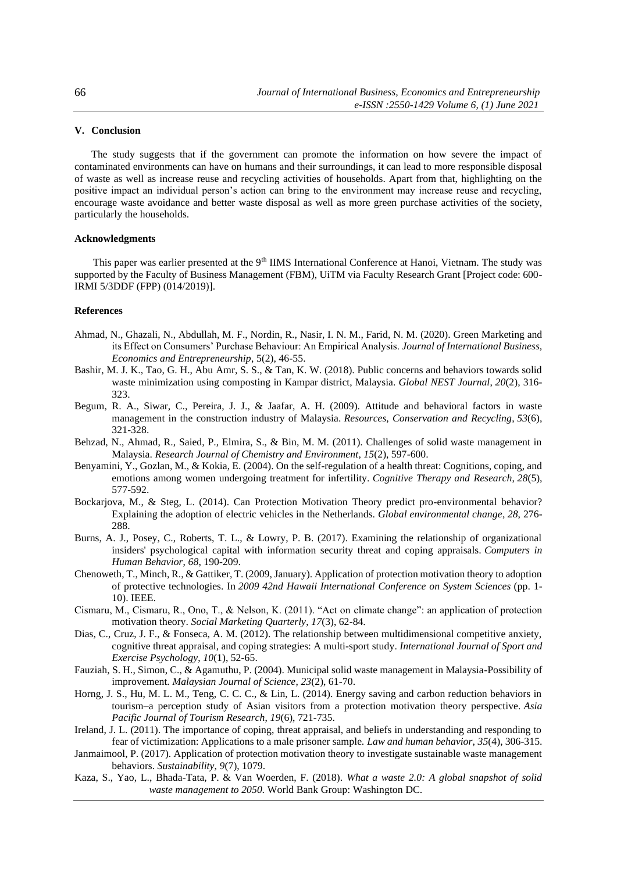# **V. Conclusion**

The study suggests that if the government can promote the information on how severe the impact of contaminated environments can have on humans and their surroundings, it can lead to more responsible disposal of waste as well as increase reuse and recycling activities of households. Apart from that, highlighting on the positive impact an individual person's action can bring to the environment may increase reuse and recycling, encourage waste avoidance and better waste disposal as well as more green purchase activities of the society, particularly the households.

# **Acknowledgments**

This paper was earlier presented at the 9<sup>th</sup> IIMS International Conference at Hanoi, Vietnam. The study was supported by the Faculty of Business Management (FBM), UiTM via Faculty Research Grant [Project code: 600-IRMI 5/3DDF (FPP) (014/2019)].

## **References**

- Ahmad, N., Ghazali, N., Abdullah, M. F., Nordin, R., Nasir, I. N. M., Farid, N. M. (2020). Green Marketing and its Effect on Consumers' Purchase Behaviour: An Empirical Analysis. *Journal of International Business, Economics and Entrepreneurship*, 5(2), 46-55.
- Bashir, M. J. K., Tao, G. H., Abu Amr, S. S., & Tan, K. W. (2018). Public concerns and behaviors towards solid waste minimization using composting in Kampar district, Malaysia. *Global NEST Journal*, *20*(2), 316- 323.
- Begum, R. A., Siwar, C., Pereira, J. J., & Jaafar, A. H. (2009). Attitude and behavioral factors in waste management in the construction industry of Malaysia. *Resources, Conservation and Recycling*, *53*(6), 321-328.
- Behzad, N., Ahmad, R., Saied, P., Elmira, S., & Bin, M. M. (2011). Challenges of solid waste management in Malaysia. *Research Journal of Chemistry and Environment*, *15*(2), 597-600.
- Benyamini, Y., Gozlan, M., & Kokia, E. (2004). On the self-regulation of a health threat: Cognitions, coping, and emotions among women undergoing treatment for infertility. *Cognitive Therapy and Research*, *28*(5), 577-592.
- Bockarjova, M., & Steg, L. (2014). Can Protection Motivation Theory predict pro-environmental behavior? Explaining the adoption of electric vehicles in the Netherlands. *Global environmental change*, *28*, 276- 288.
- Burns, A. J., Posey, C., Roberts, T. L., & Lowry, P. B. (2017). Examining the relationship of organizational insiders' psychological capital with information security threat and coping appraisals. *Computers in Human Behavior*, *68*, 190-209.
- Chenoweth, T., Minch, R., & Gattiker, T. (2009, January). Application of protection motivation theory to adoption of protective technologies. In *2009 42nd Hawaii International Conference on System Sciences* (pp. 1- 10). IEEE.
- Cismaru, M., Cismaru, R., Ono, T., & Nelson, K. (2011). "Act on climate change": an application of protection motivation theory. *Social Marketing Quarterly*, *17*(3), 62-84.
- Dias, C., Cruz, J. F., & Fonseca, A. M. (2012). The relationship between multidimensional competitive anxiety, cognitive threat appraisal, and coping strategies: A multi-sport study. *International Journal of Sport and Exercise Psychology*, *10*(1), 52-65.
- Fauziah, S. H., Simon, C., & Agamuthu, P. (2004). Municipal solid waste management in Malaysia-Possibility of improvement. *Malaysian Journal of Science*, *23*(2), 61-70.
- Horng, J. S., Hu, M. L. M., Teng, C. C. C., & Lin, L. (2014). Energy saving and carbon reduction behaviors in tourism–a perception study of Asian visitors from a protection motivation theory perspective. *Asia Pacific Journal of Tourism Research*, *19*(6), 721-735.
- Ireland, J. L. (2011). The importance of coping, threat appraisal, and beliefs in understanding and responding to fear of victimization: Applications to a male prisoner sample. *Law and human behavior*, *35*(4), 306-315.
- Janmaimool, P. (2017). Application of protection motivation theory to investigate sustainable waste management behaviors. *Sustainability*, *9*(7), 1079.
- Kaza, S., Yao, L., Bhada-Tata, P. & Van Woerden, F. (2018). *What a waste 2.0: A global snapshot of solid waste management to 2050.* World Bank Group: Washington DC.